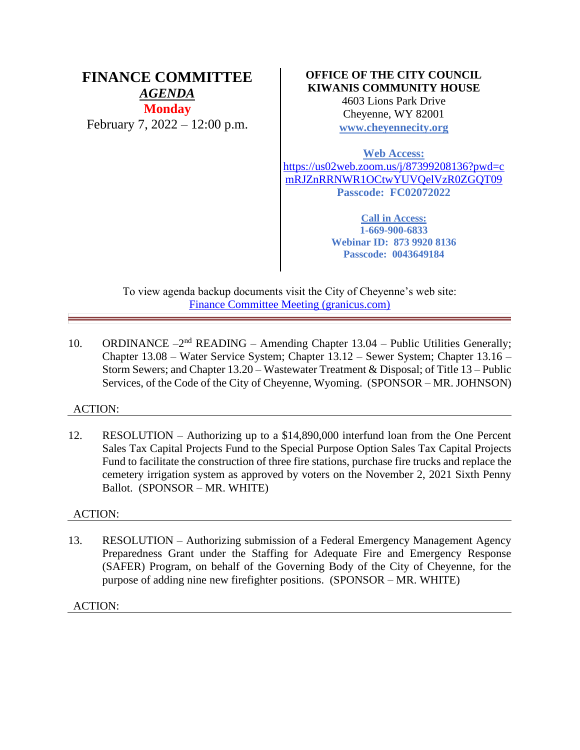# **FINANCE COMMITTEE** *AGENDA* **Monday** February 7, 2022 – 12:00 p.m.

### **OFFICE OF THE CITY COUNCIL KIWANIS COMMUNITY HOUSE**

4603 Lions Park Drive Cheyenne, WY 82001 **[www.cheyennecity.org](http://www.cheyennecity.org/)**

**Web Access:**

[https://us02web.zoom.us/j/87399208136?pwd=c](https://us02web.zoom.us/j/87399208136?pwd=cmRJZnRRNWR1OCtwYUVQelVzR0ZGQT09) [mRJZnRRNWR1OCtwYUVQelVzR0ZGQT09](https://us02web.zoom.us/j/87399208136?pwd=cmRJZnRRNWR1OCtwYUVQelVzR0ZGQT09) **Passcode: FC02072022**

> **Call in Access: 1-669-900-6833 Webinar ID: 873 9920 8136 Passcode: 0043649184**

To view agenda backup documents visit the City of Cheyenne's web site: [Finance Committee Meeting \(granicus.com\)](https://cheyenne.granicus.com/GeneratedAgendaViewer.php?event_id=1046)

10. ORDINANCE  $-2<sup>nd</sup>$  READING – Amending Chapter 13.04 – Public Utilities Generally; Chapter 13.08 – Water Service System; Chapter 13.12 – Sewer System; Chapter 13.16 – Storm Sewers; and Chapter 13.20 – Wastewater Treatment & Disposal; of Title 13 – Public Services, of the Code of the City of Cheyenne, Wyoming. (SPONSOR – MR. JOHNSON)

## ACTION:

12. RESOLUTION – Authorizing up to a \$14,890,000 interfund loan from the One Percent Sales Tax Capital Projects Fund to the Special Purpose Option Sales Tax Capital Projects Fund to facilitate the construction of three fire stations, purchase fire trucks and replace the cemetery irrigation system as approved by voters on the November 2, 2021 Sixth Penny Ballot. (SPONSOR – MR. WHITE)

## ACTION:

13. RESOLUTION – Authorizing submission of a Federal Emergency Management Agency Preparedness Grant under the Staffing for Adequate Fire and Emergency Response (SAFER) Program, on behalf of the Governing Body of the City of Cheyenne, for the purpose of adding nine new firefighter positions. (SPONSOR – MR. WHITE)

ACTION: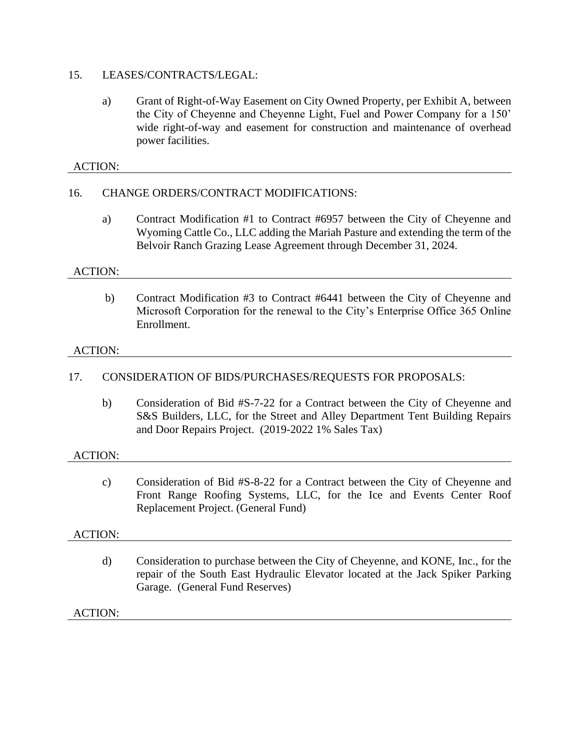#### 15. LEASES/CONTRACTS/LEGAL:

a) Grant of Right-of-Way Easement on City Owned Property, per Exhibit A, between the City of Cheyenne and Cheyenne Light, Fuel and Power Company for a 150' wide right-of-way and easement for construction and maintenance of overhead power facilities.

### ACTION:

### 16. CHANGE ORDERS/CONTRACT MODIFICATIONS:

a) Contract Modification #1 to Contract #6957 between the City of Cheyenne and Wyoming Cattle Co., LLC adding the Mariah Pasture and extending the term of the Belvoir Ranch Grazing Lease Agreement through December 31, 2024.

#### ACTION:

b) Contract Modification #3 to Contract #6441 between the City of Cheyenne and Microsoft Corporation for the renewal to the City's Enterprise Office 365 Online Enrollment.

#### ACTION:

### 17. CONSIDERATION OF BIDS/PURCHASES/REQUESTS FOR PROPOSALS:

b) Consideration of Bid #S-7-22 for a Contract between the City of Cheyenne and S&S Builders, LLC, for the Street and Alley Department Tent Building Repairs and Door Repairs Project. (2019-2022 1% Sales Tax)

#### ACTION:

c) Consideration of Bid #S-8-22 for a Contract between the City of Cheyenne and Front Range Roofing Systems, LLC, for the Ice and Events Center Roof Replacement Project. (General Fund)

#### ACTION:

d) Consideration to purchase between the City of Cheyenne, and KONE, Inc., for the repair of the South East Hydraulic Elevator located at the Jack Spiker Parking Garage. (General Fund Reserves)

#### ACTION: